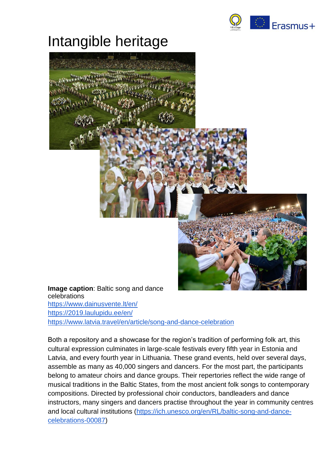

# Intangible heritage



celebrations <https://www.dainusvente.lt/en/> <https://2019.laulupidu.ee/en/> <https://www.latvia.travel/en/article/song-and-dance-celebration>

Both a repository and a showcase for the region's tradition of performing folk art, this cultural expression culminates in large-scale festivals every fifth year in Estonia and Latvia, and every fourth year in Lithuania. These grand events, held over several days, assemble as many as 40,000 singers and dancers. For the most part, the participants belong to amateur choirs and dance groups. Their repertories reflect the wide range of musical traditions in the Baltic States, from the most ancient folk songs to contemporary compositions. Directed by professional choir conductors, bandleaders and dance instructors, many singers and dancers practise throughout the year in community centres and local cultural institutions [\(https://ich.unesco.org/en/RL/baltic-song-and-dance](https://ich.unesco.org/en/RL/baltic-song-and-dance-celebrations-00087_)[celebrations-00087\)](https://ich.unesco.org/en/RL/baltic-song-and-dance-celebrations-00087_)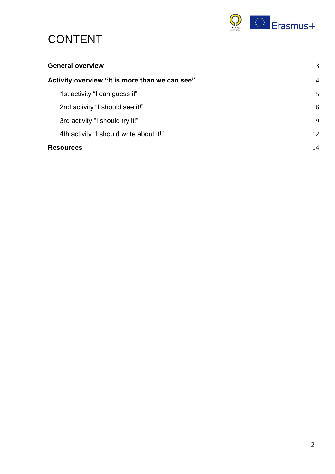

# CONTENT

| <b>General overview</b>                        | 3              |
|------------------------------------------------|----------------|
| Activity overview "It is more than we can see" | $\overline{4}$ |
| 1st activity "I can guess it"                  | 5              |
| 2nd activity "I should see it!"                | 6              |
| 3rd activity "I should try it!"                | 9              |
| 4th activity "I should write about it!"        | 12             |
| <b>Resources</b>                               | 14             |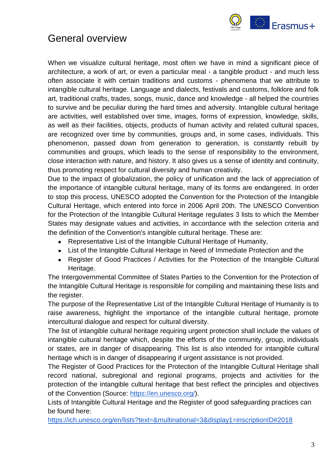

## <span id="page-2-0"></span>General overview

When we visualize cultural heritage, most often we have in mind a significant piece of architecture, a work of art, or even a particular meal - a tangible product - and much less often associate it with certain traditions and customs - phenomena that we attribute to intangible cultural heritage. Language and dialects, festivals and customs, folklore and folk art, traditional crafts, trades, songs, music, dance and knowledge - all helped the countries to survive and be peculiar during the hard times and adversity. Intangible cultural heritage are activities, well established over time, images, forms of expression, knowledge, skills, as well as their facilities, objects, products of human activity and related cultural spaces, are recognized over time by communities, groups and, in some cases, individuals. This phenomenon, passed down from generation to generation, is constantly rebuilt by communities and groups, which leads to the sense of responsibility to the environment, close interaction with nature, and history. It also gives us a sense of identity and continuity, thus promoting respect for cultural diversity and human creativity.

Due to the impact of globalization, the policy of unification and the lack of appreciation of the importance of intangible cultural heritage, many of its forms are endangered. In order to stop this process, UNESCO adopted the Convention for the Protection of the Intangible Cultural Heritage, which entered into force in 2006 April 20th. The UNESCO Convention for the Protection of the Intangible Cultural Heritage regulates 3 lists to which the Member States may designate values and activities, in accordance with the selection criteria and the definition of the Convention's intangible cultural heritage. These are:

- Representative List of the Intangible Cultural Heritage of Humanity,
- List of the Intangible Cultural Heritage in Need of Immediate Protection and the
- Register of Good Practices / Activities for the Protection of the Intangible Cultural Heritage.

The Intergovernmental Committee of States Parties to the Convention for the Protection of the Intangible Cultural Heritage is responsible for compiling and maintaining these lists and the register.

The purpose of the Representative List of the Intangible Cultural Heritage of Humanity is to raise awareness, highlight the importance of the intangible cultural heritage, promote intercultural dialogue and respect for cultural diversity.

The list of intangible cultural heritage requiring urgent protection shall include the values of intangible cultural heritage which, despite the efforts of the community, group, individuals or states, are in danger of disappearing. This list is also intended for intangible cultural heritage which is in danger of disappearing if urgent assistance is not provided.

The Register of Good Practices for the Protection of the Intangible Cultural Heritage shall record national, subregional and regional programs, projects and activities for the protection of the intangible cultural heritage that best reflect the principles and objectives of the Convention (Source: [https://en.unesco.org/\)](https://en.unesco.org/).

Lists of Intangible Cultural Heritage and the Register of good safeguarding practices can be found here:

<https://ich.unesco.org/en/lists?text=&multinational=3&display1=inscriptionID#2018>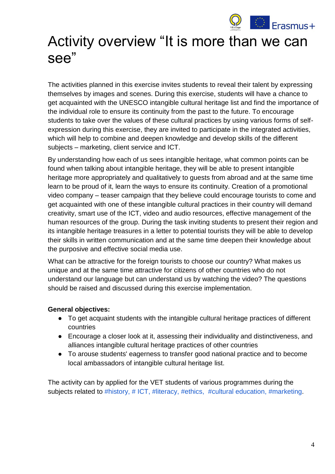

# <span id="page-3-0"></span>Activity overview "It is more than we can see"

The activities planned in this exercise invites students to reveal their talent by expressing themselves by images and scenes. During this exercise, students will have a chance to get acquainted with the UNESCO intangible cultural heritage list and find the importance of the individual role to ensure its continuity from the past to the future. To encourage students to take over the values of these cultural practices by using various forms of selfexpression during this exercise, they are invited to participate in the integrated activities, which will help to combine and deepen knowledge and develop skills of the different subjects – marketing, client service and ICT.

By understanding how each of us sees intangible heritage, what common points can be found when talking about intangible heritage, they will be able to present intangible heritage more appropriately and qualitatively to guests from abroad and at the same time learn to be proud of it, learn the ways to ensure its continuity. Creation of a promotional video company – teaser campaign that they believe could encourage tourists to come and get acquainted with one of these intangible cultural practices in their country will demand creativity, smart use of the ICT, video and audio resources, effective management of the human resources of the group. During the task inviting students to present their region and its intangible heritage treasures in a letter to potential tourists they will be able to develop their skills in written communication and at the same time deepen their knowledge about the purposive and effective social media use.

What can be attractive for the foreign tourists to choose our country? What makes us unique and at the same time attractive for citizens of other countries who do not understand our language but can understand us by watching the video? The questions should be raised and discussed during this exercise implementation.

#### **General objectives:**

- To get acquaint students with the intangible cultural heritage practices of different countries
- Encourage a closer look at it, assessing their individuality and distinctiveness, and alliances intangible cultural heritage practices of other countries
- To arouse students' eagerness to transfer good national practice and to become local ambassadors of intangible cultural heritage list.

The activity can by applied for the VET students of various programmes during the subjects related to #history, # ICT, #literacy, #ethics, #cultural education, #marketing.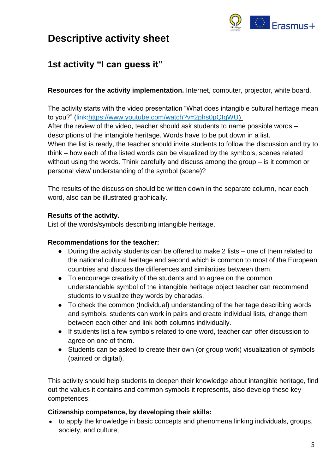

# **Descriptive activity sheet**

## <span id="page-4-0"></span>**1st activity "I can guess it"**

**Resources for the activity implementation.** Internet, computer, projector, white board.

The activity starts with the video presentation "What does intangible cultural heritage mean to you?" (link[:https://www.youtube.com/watch?v=2phs0pQIgWU\)](https://www.youtube.com/watch?v=2phs0pQIgWU) After the review of the video, teacher should ask students to name possible words – descriptions of the intangible heritage. Words have to be put down in a list. When the list is ready, the teacher should invite students to follow the discussion and try to think – how each of the listed words can be visualized by the symbols, scenes related without using the words. Think carefully and discuss among the group – is it common or personal view/ understanding of the symbol (scene)?

The results of the discussion should be written down in the separate column, near each word, also can be illustrated graphically.

#### **Results of the activity.**

List of the words/symbols describing intangible heritage.

#### **Recommendations for the teacher:**

- During the activity students can be offered to make 2 lists one of them related to the national cultural heritage and second which is common to most of the European countries and discuss the differences and similarities between them.
- To encourage creativity of the students and to agree on the common understandable symbol of the intangible heritage object teacher can recommend students to visualize they words by charadas.
- To check the common (Individual) understanding of the heritage describing words and symbols, students can work in pairs and create individual lists, change them between each other and link both columns individually.
- If students list a few symbols related to one word, teacher can offer discussion to agree on one of them.
- Students can be asked to create their own (or group work) visualization of symbols (painted or digital).

This activity should help students to deepen their knowledge about intangible heritage, find out the values it contains and common symbols it represents, also develop these [key](https://eur-lex.europa.eu/legal-content/EN/TXT/?uri=uriserv:OJ.C_.2018.189.01.0001.01.ENG)  [competences:](https://eur-lex.europa.eu/legal-content/EN/TXT/?uri=uriserv:OJ.C_.2018.189.01.0001.01.ENG)

#### **Citizenship competence, by developing their skills:**

• to apply the knowledge in basic concepts and phenomena linking individuals, groups, society, and culture;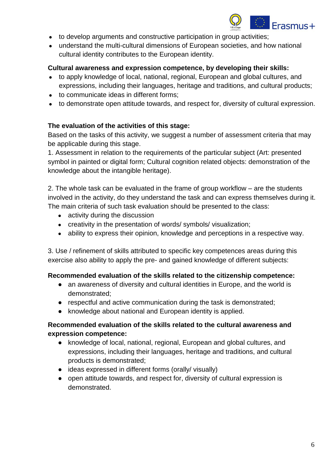

- to develop arguments and constructive participation in group activities;
- understand the multi-cultural dimensions of European societies, and how national cultural identity contributes to the European identity.

#### **Cultural awareness and expression competence, by developing their skills:**

- to apply knowledge of local, national, regional, European and global cultures, and expressions, including their languages, heritage and traditions, and cultural products;
- to communicate ideas in different forms;
- to demonstrate open attitude towards, and respect for, diversity of cultural expression.

#### **The evaluation of the activities of this stage:**

Based on the tasks of this activity, we suggest a number of assessment criteria that may be applicable during this stage.

1. Assessment in relation to the requirements of the particular subject (Art: presented symbol in painted or digital form; Cultural cognition related objects: demonstration of the knowledge about the intangible heritage).

2. The whole task can be evaluated in the frame of group workflow – are the students involved in the activity, do they understand the task and can express themselves during it. The main criteria of such task evaluation should be presented to the class:

- activity during the discussion
- creativity in the presentation of words/ symbols/ visualization;
- ability to express their opinion, knowledge and perceptions in a respective way.

3. Use / refinement of skills attributed to specific key competences areas during this exercise also ability to apply the pre- and gained knowledge of different subjects:

#### **Recommended evaluation of the skills related to the citizenship competence:**

- an awareness of diversity and cultural identities in Europe, and the world is demonstrated;
- respectful and active communication during the task is demonstrated;
- knowledge about national and European identity is applied.

#### **Recommended evaluation of the skills related to the cultural awareness and expression competence:**

- knowledge of local, national, regional, European and global cultures, and expressions, including their languages, heritage and traditions, and cultural products is demonstrated;
- ideas expressed in different forms (orally/ visually)
- <span id="page-5-0"></span>● open attitude towards, and respect for, diversity of cultural expression is demonstrated.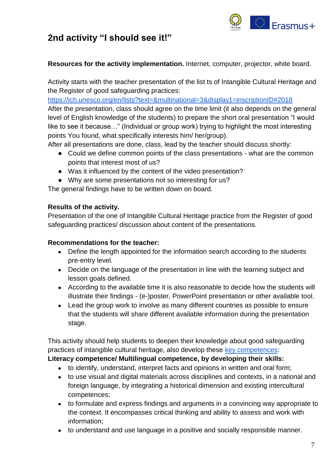

## **[2nd activity](https://docs.google.com/document/d/1UJk_hN6ka-M39Xf3Atm9lmVgqk3lBXzmaykRySPcI3k/edit#heading=h.2et92p0) "I should see it!"**

### **Resources for the activity implementation.** Internet, computer, projector, white board.

Activity starts with the teacher presentation of the list ts of Intangible Cultural Heritage and the Register of good safeguarding practices:

<https://ich.unesco.org/en/lists?text=&multinational=3&display1=inscriptionID#2018>

After the presentation, class should agree on the time limit (it also depends on the general level of English knowledge of the students) to prepare the short oral presentation "I would like to see it because…" (Individual or group work) trying to highlight the most interesting points You found, what specifically interests him/ her/group).

After all presentations are done, class, lead by the teacher should discuss shortly:

- Could we define common points of the class presentations what are the common points that interest most of us?
- Was it influenced by the content of the video presentation?
- Why are some presentations not so interesting for us?

The general findings have to be written down on board.

#### **Results of the activity.**

Presentation of the one of Intangible Cultural Heritage practice from the Register of good safeguarding practices/ discussion about content of the presentations.

#### **Recommendations for the teacher:**

- Define the length appointed for the information search according to the students pre-entry level.
- Decide on the language of the presentation in line with the learning subject and lesson goals defined.
- According to the available time it is also reasonable to decide how the students will illustrate their findings - (e-)poster, PowerPoint presentation or other available tool.
- Lead the group work to involve as many different countries as possible to ensure that the students will share different available information during the presentation stage.

This activity should help students to deepen their knowledge about good safeguarding practices of intangible cultural heritage, also develop these [key competences:](https://eur-lex.europa.eu/legal-content/EN/TXT/?uri=uriserv:OJ.C_.2018.189.01.0001.01.ENG)

#### **Literacy competence/ Multilingual competence, by developing their skills:**

- to identify, understand, interpret facts and opinions in written and oral form;
- to use visual and digital materials across disciplines and contexts, in a national and foreign language, by integrating a historical dimension and existing intercultural competences;
- to formulate and express findings and arguments in a convincing way appropriate to the context. It encompasses critical thinking and ability to assess and work with information;
- to understand and use language in a positive and socially responsible manner.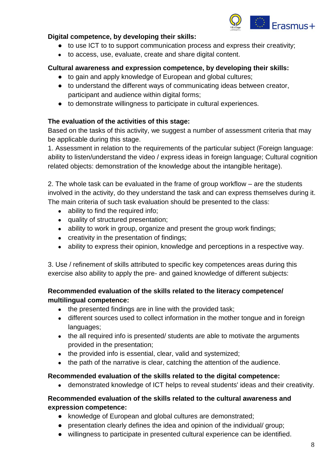

#### **Digital competence, by developing their skills:**

- to use ICT to to support communication process and express their creativity;
- to access, use, evaluate, create and share digital content.

#### **Cultural awareness and expression competence, by developing their skills:**

- to gain and apply knowledge of European and global cultures;
- to understand the different ways of communicating ideas between creator, participant and audience within digital forms;
- to demonstrate willingness to participate in cultural experiences.

#### **The evaluation of the activities of this stage:**

Based on the tasks of this activity, we suggest a number of assessment criteria that may be applicable during this stage.

1. Assessment in relation to the requirements of the particular subject (Foreign language: ability to listen/understand the video / express ideas in foreign language; Cultural cognition related objects: demonstration of the knowledge about the intangible heritage).

2. The whole task can be evaluated in the frame of group workflow – are the students involved in the activity, do they understand the task and can express themselves during it. The main criteria of such task evaluation should be presented to the class:

- ability to find the required info;
- quality of structured presentation;
- ability to work in group, organize and present the group work findings;
- creativity in the presentation of findings;
- ability to express their opinion, knowledge and perceptions in a respective way.

3. Use / refinement of skills attributed to specific key competences areas during this exercise also ability to apply the pre- and gained knowledge of different subjects:

### **Recommended evaluation of the skills related to the literacy competence/ multilingual competence:**

- the presented findings are in line with the provided task;
- different sources used to collect information in the mother tongue and in foreign languages;
- the all required info is presented/ students are able to motivate the arguments provided in the presentation;
- the provided info is essential, clear, valid and systemized;
- the path of the narrative is clear, catching the attention of the audience.

#### **Recommended evaluation of the skills related to the digital competence:**

• demonstrated knowledge of ICT helps to reveal students' ideas and their creativity.

#### **Recommended evaluation of the skills related to the cultural awareness and expression competence:**

- knowledge of European and global cultures are demonstrated;
- presentation clearly defines the idea and opinion of the individual/ group;
- willingness to participate in presented cultural experience can be identified.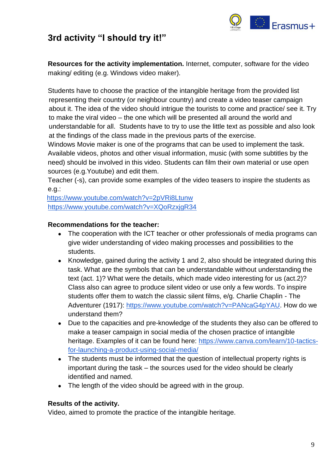

## <span id="page-8-0"></span>**[3rd activity](https://docs.google.com/document/d/1UJk_hN6ka-M39Xf3Atm9lmVgqk3lBXzmaykRySPcI3k/edit#heading=h.3dy6vkm) "I should try it!"**

**Resources for the activity implementation.** Internet, computer, software for the video making/ editing (e.g. Windows video maker).

Students have to choose the practice of the intangible heritage from the provided list representing their country (or neighbour country) and create a video teaser campaign about it. The idea of the video should intrigue the tourists to come and practice/ see it. Try to make the viral video – the one which will be presented all around the world and understandable for all. Students have to try to use the little text as possible and also look at the findings of the class made in the previous parts of the exercise.

Windows Movie maker is one of the programs that can be used to implement the task. Available videos, photos and other visual information, music (with some subtitles by the need) should be involved in this video. Students can film their own material or use open sources (e.g.Youtube) and edit them.

Teacher (-s), can provide some examples of the video teasers to inspire the students as e.g.:

<https://www.youtube.com/watch?v=2pVRi8Ltunw> <https://www.youtube.com/watch?v=XQoRzxjgR34>

#### **Recommendations for the teacher:**

- The cooperation with the ICT teacher or other professionals of media programs can give wider understanding of video making processes and possibilities to the students.
- Knowledge, gained during the activity 1 and 2, also should be integrated during this task. What are the symbols that can be understandable without understanding the text (act. 1)? What were the details, which made video interesting for us (act.2)? Class also can agree to produce silent video or use only a few words. To inspire students offer them to watch the classic silent films, e/g. Charlie Chaplin - The Adventurer (1917): [https://www.youtube.com/watch?v=PANcaG4pYAU.](https://www.youtube.com/watch?v=PANcaG4pYAU) How do we understand them?
- Due to the capacities and pre-knowledge of the students they also can be offered to make a teaser campaign in social media of the chosen practice of intangible heritage. Examples of it can be found here: [https://www.canva.com/learn/10-tactics](https://www.canva.com/learn/10-tactics-for-launching-a-product-using-social-media/)[for-launching-a-product-using-social-media/](https://www.canva.com/learn/10-tactics-for-launching-a-product-using-social-media/)
- The students must be informed that the question of intellectual property rights is important during the task – the sources used for the video should be clearly identified and named.
- The length of the video should be agreed with in the group.

#### **Results of the activity.**

Video, aimed to promote the practice of the intangible heritage.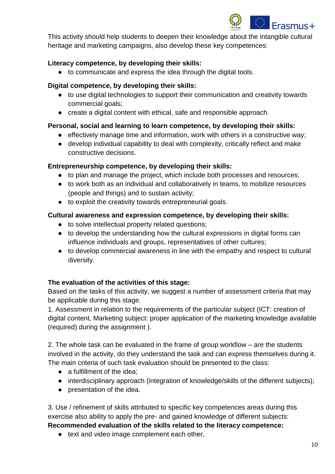

This activity should help students to deepen their knowledge about the intangible cultural heritage and marketing campaigns, also develop these [key competences:](https://eur-lex.europa.eu/legal-content/EN/TXT/?uri=uriserv:OJ.C_.2018.189.01.0001.01.ENG)

### **Literacy competence, by developing their skills:**

● to communicate and express the idea through the digital tools.

#### **Digital competence, by developing their skills:**

- to use digital technologies to support their communication and creativity towards commercial goals;
- create a digital content with ethical, safe and responsible approach.

### **Personal, social and learning to learn competence, by developing their skills:**

- effectively manage time and information, work with others in a constructive way;
- develop individual capability to deal with complexity, critically reflect and make constructive decisions.

#### **Entrepreneurship competence, by developing their skills:**

- to plan and manage the project, which include both processes and resources;
- to work both as an individual and collaboratively in teams, to mobilize resources (people and things) and to sustain activity;
- to exploit the creativity towards entrepreneurial goals.

#### **Cultural awareness and expression competence, by developing their skills:**

- to solve intellectual property related questions;
- to develop the understanding how the cultural expressions in digital forms can influence individuals and groups, representatives of other cultures;
- to develop commercial awareness in line with the empathy and respect to cultural diversity.

#### **The evaluation of the activities of this stage:**

Based on the tasks of this activity, we suggest a number of assessment criteria that may be applicable during this stage.

1. Assessment in relation to the requirements of the particular subject (ICT: creation of digital content, Marketing subject: proper application of the marketing knowledge available (required) during the assignment ).

2. The whole task can be evaluated in the frame of group workflow – are the students involved in the activity, do they understand the task and can express themselves during it. The main criteria of such task evaluation should be presented to the class:

- a fulfillment of the idea:
- interdisciplinary approach (integration of knowledge/skills of the different subjects);
- presentation of the idea.

3. Use / refinement of skills attributed to specific key competences areas during this exercise also ability to apply the pre- and gained knowledge of different subjects:

**Recommended evaluation of the skills related to the literacy competence:**

● text and video image complement each other.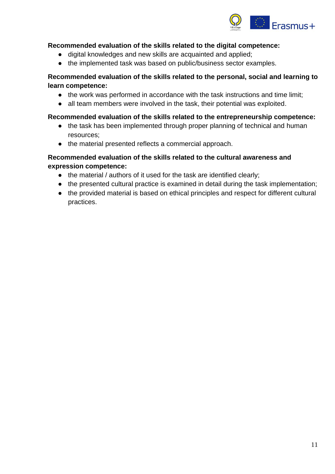

#### **Recommended evaluation of the skills related to the digital competence:**

- digital knowledges and new skills are acquainted and applied;
- the implemented task was based on public/business sector examples.

#### **Recommended evaluation of the skills related to the personal, social and learning to learn competence:**

- the work was performed in accordance with the task instructions and time limit;
- all team members were involved in the task, their potential was exploited.

#### **Recommended evaluation of the skills related to the entrepreneurship competence:**

- the task has been implemented through proper planning of technical and human resources;
- the material presented reflects a commercial approach.

### **Recommended evaluation of the skills related to the cultural awareness and expression competence:**

- the material / authors of it used for the task are identified clearly;
- the presented cultural practice is examined in detail during the task implementation;
- the provided material is based on ethical principles and respect for different cultural practices.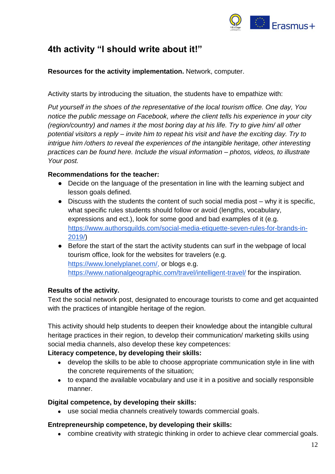

## <span id="page-11-0"></span>**4th activity "I should write about it!"**

**Resources for the activity implementation.** Network, computer.

Activity starts by introducing the situation, the students have to empathize with:

*Put yourself in the shoes of the representative of the local tourism office. One day, You notice the public message on Facebook, where the client tells his experience in your city (region/country) and names it the most boring day at his life. Try to give him/ all other potential visitors a reply – invite him to repeat his visit and have the exciting day. Try to intrigue him /others to reveal the experiences of the intangible heritage, other interesting practices can be found here. Include the visual information – photos, videos, to illustrate Your post.*

### **Recommendations for the teacher:**

- Decide on the language of the presentation in line with the learning subject and lesson goals defined.
- $\bullet$  Discuss with the students the content of such social media post why it is specific, what specific rules students should follow or avoid (lengths, vocabulary, expressions and ect.), look for some good and bad examples of it (e.g. [https://www.authorsguilds.com/social-media-etiquette-seven-rules-for-brands-in-](https://www.authorsguilds.com/social-media-etiquette-seven-rules-for-brands-in-2019/)[2019/\)](https://www.authorsguilds.com/social-media-etiquette-seven-rules-for-brands-in-2019/)
- Before the start of the start the activity students can surf in the webpage of local tourism office, look for the websites for travelers (e.g. [https://www.lonelyplanet.com/,](https://www.lonelyplanet.com/) or blogs e.g. <https://www.nationalgeographic.com/travel/intelligent-travel/> for the inspiration.

## **Results of the activity.**

Text the social network post, designated to encourage tourists to come and get acquainted with the practices of intangible heritage of the region.

This activity should help students to deepen their knowledge about the intangible cultural heritage practices in their region, to develop their communication/ marketing skills using social media channels, also develop these [key competences:](https://eur-lex.europa.eu/legal-content/EN/TXT/?uri=uriserv:OJ.C_.2018.189.01.0001.01.ENG)

#### **Literacy competence, by developing their skills:**

- develop the skills to be able to choose appropriate communication style in line with the concrete requirements of the situation;
- to expand the available vocabulary and use it in a positive and socially responsible manner.

## **Digital competence, by developing their skills:**

● use social media channels creatively towards commercial goals.

#### **Entrepreneurship competence, by developing their skills:**

● combine creativity with strategic thinking in order to achieve clear commercial goals.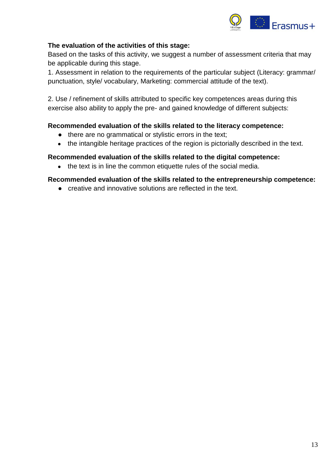

#### **The evaluation of the activities of this stage:**

Based on the tasks of this activity, we suggest a number of assessment criteria that may be applicable during this stage.

1. Assessment in relation to the requirements of the particular subject (Literacy: grammar/ punctuation, style/ vocabulary, Marketing: commercial attitude of the text).

2. Use / refinement of skills attributed to specific key competences areas during this exercise also ability to apply the pre- and gained knowledge of different subjects:

#### **Recommended evaluation of the skills related to the literacy competence:**

- there are no grammatical or stylistic errors in the text;
- the intangible heritage practices of the region is pictorially described in the text.

#### **Recommended evaluation of the skills related to the digital competence:**

• the text is in line the common etiquette rules of the social media.

#### **Recommended evaluation of the skills related to the entrepreneurship competence:**

● creative and innovative solutions are reflected in the text.